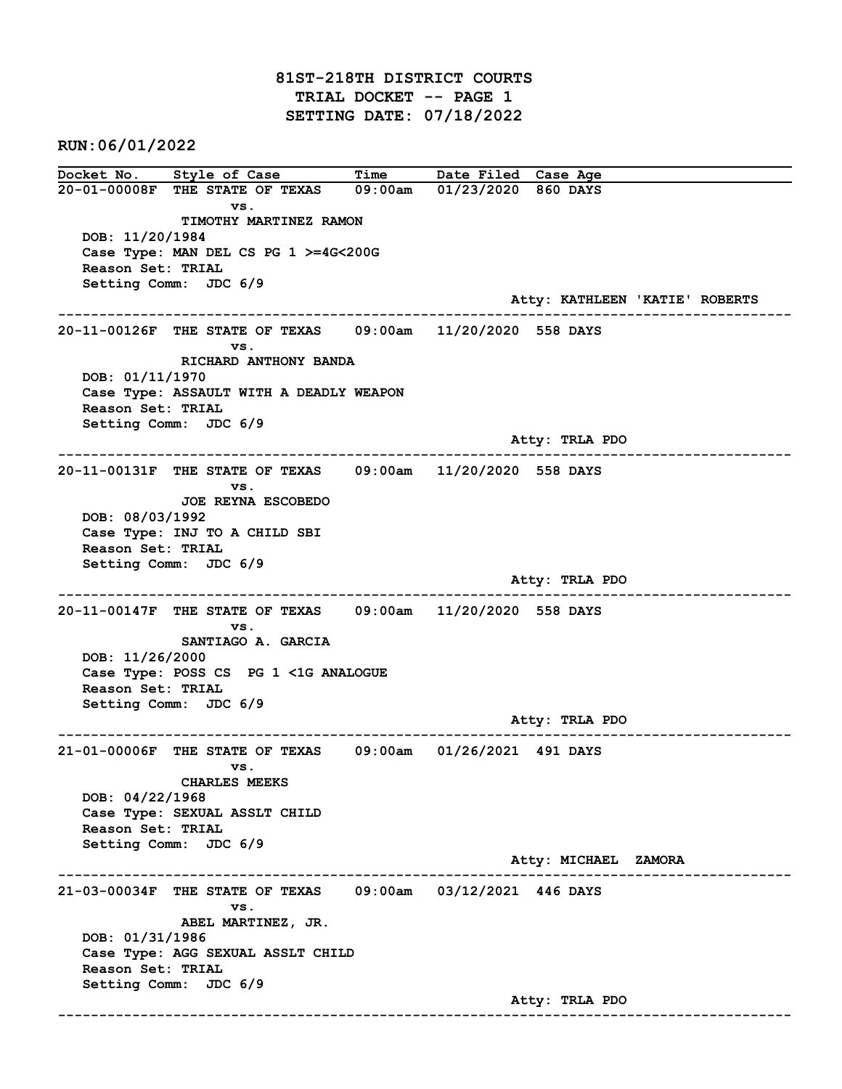81ST-218TH DISTRICT COURTS TRIAL DOCKET -- PAGE 1 SETTING DATE: 07/18/2022

RUN:06/01/2022

Docket No. Style of Case Time Date Filed Case Age 20-01-00008F THE STATE OF TEXAS 09:00am 01/23/2020 860 DAYS vs. TIMOTHY MARTINEZ RAMON DOB: 11/20/1984 Case Type: MAN DEL CS PG 1 >=4G<200G Reason Set: TRIAL Setting Comm: JDC 6/9 Atty: KATHLEEN 'KATIE' ROBERTS ------------------------------------------------------------------------------------------------------------------------ 20-11-00126F THE STATE OF TEXAS 09:00am 11/20/2020 558 DAYS vs. RICHARD ANTHONY BANDA DOB: 01/11/1970 Case Type: ASSAULT WITH A DEADLY WEAPON Reason Set: TRIAL Setting Comm: JDC 6/9 Atty: TRLA PDO ------------------------------------------------------------------------------------------------------------------------ 20-11-00131F THE STATE OF TEXAS 09:00am 11/20/2020 558 DAYS vs. JOE REYNA ESCOBEDO DOB: 08/03/1992 Case Type: INJ TO A CHILD SBI Reason Set: TRIAL Setting Comm: JDC 6/9 Atty: TRLA PDO ------------------------------------------------------------------------------------------------------------------------ 20-11-00147F THE STATE OF TEXAS 09:00am 11/20/2020 558 DAYS vs. SANTIAGO A. GARCIA DOB: 11/26/2000 Case Type: POSS CS PG 1 <1G ANALOGUE Reason Set: TRIAL Setting Comm: JDC 6/9 Atty: TRLA PDO ------------------------------------------------------------------------------------------------------------------------ 21-01-00006F THE STATE OF TEXAS 09:00am 01/26/2021 491 DAYS vs. CHARLES MEEKS DOB: 04/22/1968 Case Type: SEXUAL ASSLT CHILD Reason Set: TRIAL Setting Comm: JDC 6/9 Atty: MICHAEL ZAMORA ------------------------------------------------------------------------------------------------------------------------ 21-03-00034F THE STATE OF TEXAS 09:00am 03/12/2021 446 DAYS vs. ABEL MARTINEZ, JR. DOB: 01/31/1986 Case Type: AGG SEXUAL ASSLT CHILD Reason Set: TRIAL Setting Comm: JDC 6/9 Atty: TRLA PDO ------------------------------------------------------------------------------------------------------------------------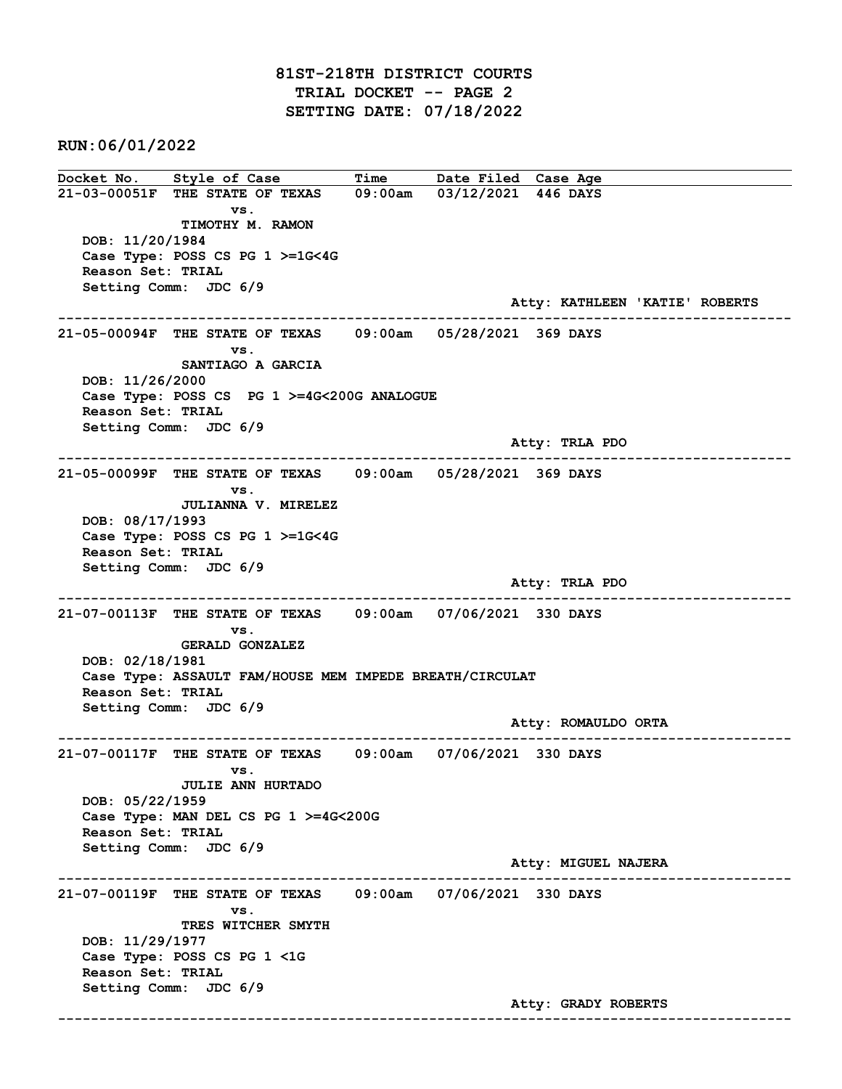RUN:06/01/2022

Docket No. Style of Case Time Date Filed Case Age 21-03-00051F THE STATE OF TEXAS 09:00am 03/12/2021 446 DAYS vs. TIMOTHY M. RAMON DOB: 11/20/1984 Case Type: POSS CS PG 1 >=1G<4G Reason Set: TRIAL Setting Comm: JDC 6/9 Atty: KATHLEEN 'KATIE' ROBERTS ------------------------------------------------------------------------------------------------------------------------ 21-05-00094F THE STATE OF TEXAS 09:00am 05/28/2021 369 DAYS vs. SANTIAGO A GARCIA DOB: 11/26/2000 Case Type: POSS CS PG 1 >=4G<200G ANALOGUE Reason Set: TRIAL Setting Comm: JDC 6/9 Atty: TRLA PDO ------------------------------------------------------------------------------------------------------------------------ 21-05-00099F THE STATE OF TEXAS 09:00am 05/28/2021 369 DAYS vs. JULIANNA V. MIRELEZ DOB: 08/17/1993 Case Type: POSS CS PG 1 >=1G<4G Reason Set: TRIAL Setting Comm: JDC 6/9 Atty: TRLA PDO ------------------------------------------------------------------------------------------------------------------------ 21-07-00113F THE STATE OF TEXAS 09:00am 07/06/2021 330 DAYS vs. GERALD GONZALEZ DOB: 02/18/1981 Case Type: ASSAULT FAM/HOUSE MEM IMPEDE BREATH/CIRCULAT Reason Set: TRIAL Setting Comm: JDC 6/9 Atty: ROMAULDO ORTA ------------------------------------------------------------------------------------------------------------------------ 21-07-00117F THE STATE OF TEXAS 09:00am 07/06/2021 330 DAYS vs. JULIE ANN HURTADO DOB: 05/22/1959 Case Type: MAN DEL CS PG 1 >=4G<200G Reason Set: TRIAL Setting Comm: JDC 6/9 Atty: MIGUEL NAJERA ------------------------------------------------------------------------------------------------------------------------ 21-07-00119F THE STATE OF TEXAS 09:00am 07/06/2021 330 DAYS vs. TRES WITCHER SMYTH DOB: 11/29/1977 Case Type: POSS CS PG 1 <1G Reason Set: TRIAL Setting Comm: JDC 6/9 Atty: GRADY ROBERTS ------------------------------------------------------------------------------------------------------------------------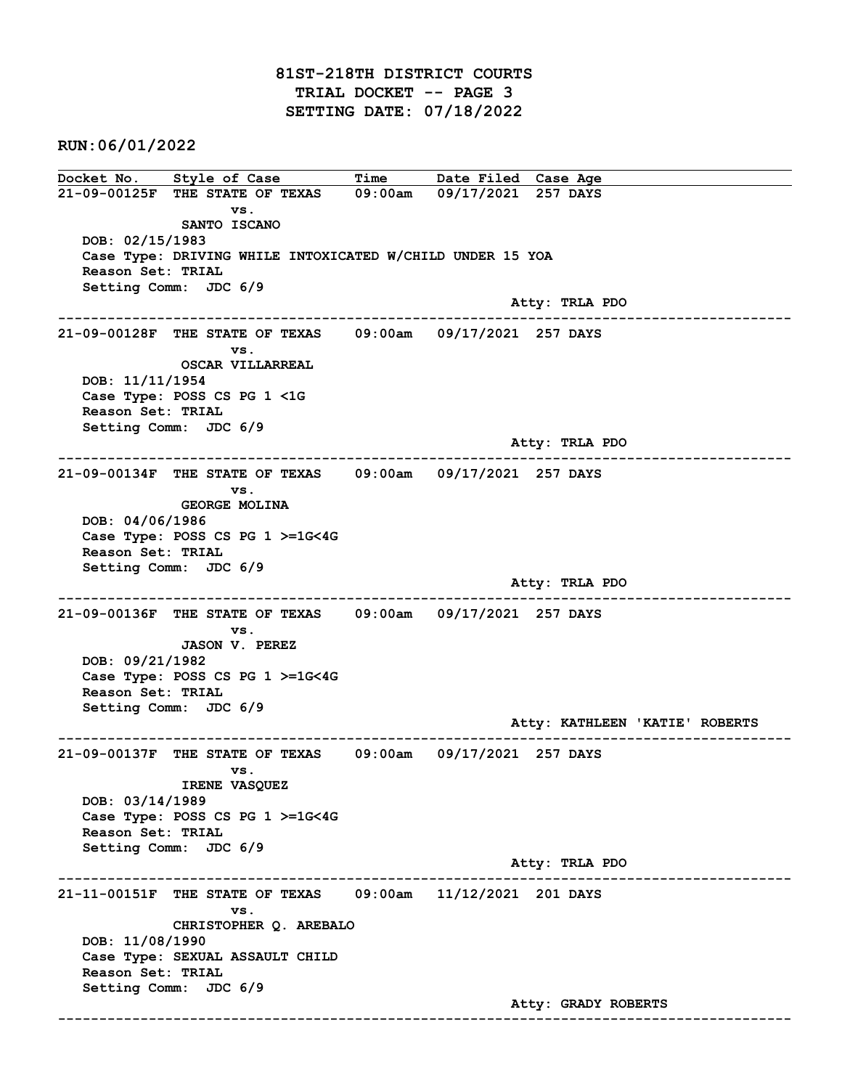RUN:06/01/2022

Docket No. Style of Case Time Date Filed Case Age 21-09-00125F THE STATE OF TEXAS 09:00am 09/17/2021 257 DAYS vs. SANTO ISCANO DOB: 02/15/1983 Case Type: DRIVING WHILE INTOXICATED W/CHILD UNDER 15 YOA Reason Set: TRIAL Setting Comm: JDC 6/9 Atty: TRLA PDO ------------------------------------------------------------------------------------------------------------------------ 21-09-00128F THE STATE OF TEXAS 09:00am 09/17/2021 257 DAYS vs. OSCAR VILLARREAL DOB: 11/11/1954 Case Type: POSS CS PG 1 <1G Reason Set: TRIAL Setting Comm: JDC 6/9 Atty: TRLA PDO ------------------------------------------------------------------------------------------------------------------------ 21-09-00134F THE STATE OF TEXAS 09:00am 09/17/2021 257 DAYS vs. GEORGE MOLINA DOB: 04/06/1986 Case Type: POSS CS PG 1 >=1G<4G Reason Set: TRIAL Setting Comm: JDC 6/9 Atty: TRLA PDO ------------------------------------------------------------------------------------------------------------------------ 21-09-00136F THE STATE OF TEXAS 09:00am 09/17/2021 257 DAYS vs. JASON V. PEREZ DOB: 09/21/1982 Case Type: POSS CS PG 1 >=1G<4G Reason Set: TRIAL Setting Comm: JDC 6/9 Atty: KATHLEEN 'KATIE' ROBERTS ------------------------------------------------------------------------------------------------------------------------ 21-09-00137F THE STATE OF TEXAS 09:00am 09/17/2021 257 DAYS vs. IRENE VASQUEZ DOB: 03/14/1989 Case Type: POSS CS PG 1 >=1G<4G Reason Set: TRIAL Setting Comm: JDC 6/9 Atty: TRLA PDO ------------------------------------------------------------------------------------------------------------------------ 21-11-00151F THE STATE OF TEXAS 09:00am 11/12/2021 201 DAYS vs. CHRISTOPHER Q. AREBALO DOB: 11/08/1990 Case Type: SEXUAL ASSAULT CHILD Reason Set: TRIAL Setting Comm: JDC 6/9 Atty: GRADY ROBERTS ------------------------------------------------------------------------------------------------------------------------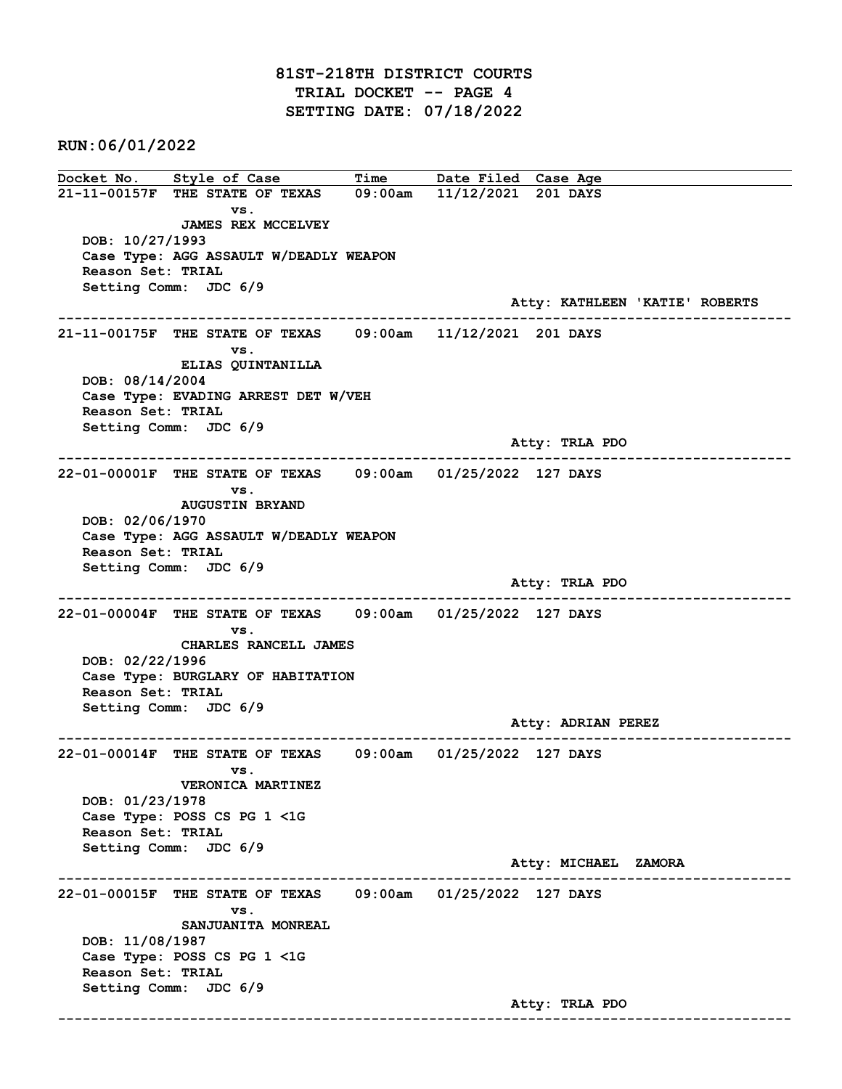## 81ST-218TH DISTRICT COURTS TRIAL DOCKET -- PAGE 4 SETTING DATE: 07/18/2022

RUN:06/01/2022

Docket No. Style of Case Time Date Filed Case Age 21-11-00157F THE STATE OF TEXAS 09:00am 11/12/2021 201 DAYS vs. JAMES REX MCCELVEY DOB: 10/27/1993 Case Type: AGG ASSAULT W/DEADLY WEAPON Reason Set: TRIAL Setting Comm: JDC 6/9 Atty: KATHLEEN 'KATIE' ROBERTS ------------------------------------------------------------------------------------------------------------------------ 21-11-00175F THE STATE OF TEXAS 09:00am 11/12/2021 201 DAYS vs. ELIAS QUINTANILLA DOB: 08/14/2004 Case Type: EVADING ARREST DET W/VEH Reason Set: TRIAL Setting Comm: JDC 6/9 Atty: TRLA PDO ------------------------------------------------------------------------------------------------------------------------ 22-01-00001F THE STATE OF TEXAS 09:00am 01/25/2022 127 DAYS vs. AUGUSTIN BRYAND DOB: 02/06/1970 Case Type: AGG ASSAULT W/DEADLY WEAPON Reason Set: TRIAL Setting Comm: JDC 6/9 Atty: TRLA PDO ------------------------------------------------------------------------------------------------------------------------ 22-01-00004F THE STATE OF TEXAS 09:00am 01/25/2022 127 DAYS vs. CHARLES RANCELL JAMES DOB: 02/22/1996 Case Type: BURGLARY OF HABITATION Reason Set: TRIAL Setting Comm: JDC 6/9 Atty: ADRIAN PEREZ ------------------------------------------------------------------------------------------------------------------------ 22-01-00014F THE STATE OF TEXAS 09:00am 01/25/2022 127 DAYS vs. VERONICA MARTINEZ DOB: 01/23/1978 Case Type: POSS CS PG 1 <1G Reason Set: TRIAL Setting Comm: JDC 6/9 Atty: MICHAEL ZAMORA ------------------------------------------------------------------------------------------------------------------------ 22-01-00015F THE STATE OF TEXAS 09:00am 01/25/2022 127 DAYS vs. SANJUANITA MONREAL DOB: 11/08/1987 Case Type: POSS CS PG 1 <1G Reason Set: TRIAL Setting Comm: JDC 6/9 Atty: TRLA PDO ------------------------------------------------------------------------------------------------------------------------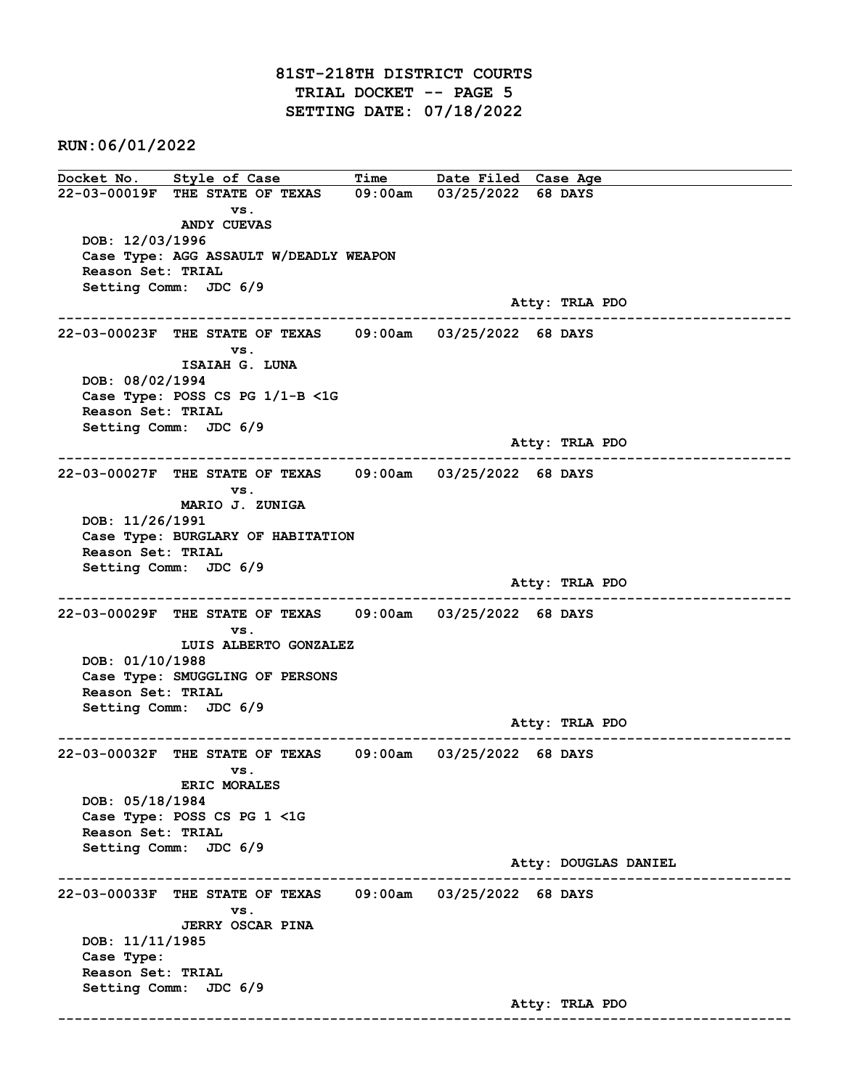RUN:06/01/2022

Docket No. Style of Case Time Date Filed Case Age 22-03-00019F THE STATE OF TEXAS 09:00am 03/25/2022 68 DAYS vs. ANDY CUEVAS DOB: 12/03/1996 Case Type: AGG ASSAULT W/DEADLY WEAPON Reason Set: TRIAL Setting Comm: JDC 6/9 Atty: TRLA PDO ------------------------------------------------------------------------------------------------------------------------ 22-03-00023F THE STATE OF TEXAS 09:00am 03/25/2022 68 DAYS vs. ISAIAH G. LUNA DOB: 08/02/1994 Case Type: POSS CS PG 1/1-B <1G Reason Set: TRIAL Setting Comm: JDC 6/9 Atty: TRLA PDO ------------------------------------------------------------------------------------------------------------------------ 22-03-00027F THE STATE OF TEXAS 09:00am 03/25/2022 68 DAYS vs. MARIO J. ZUNIGA DOB: 11/26/1991 Case Type: BURGLARY OF HABITATION Reason Set: TRIAL Setting Comm: JDC 6/9 Atty: TRLA PDO ------------------------------------------------------------------------------------------------------------------------ 22-03-00029F THE STATE OF TEXAS 09:00am 03/25/2022 68 DAYS vs. LUIS ALBERTO GONZALEZ DOB: 01/10/1988 Case Type: SMUGGLING OF PERSONS Reason Set: TRIAL Setting Comm: JDC 6/9 Atty: TRLA PDO ------------------------------------------------------------------------------------------------------------------------ 22-03-00032F THE STATE OF TEXAS 09:00am 03/25/2022 68 DAYS vs. ERIC MORALES DOB: 05/18/1984 Case Type: POSS CS PG 1 <1G Reason Set: TRIAL Setting Comm: JDC 6/9 Atty: DOUGLAS DANIEL ------------------------------------------------------------------------------------------------------------------------ 22-03-00033F THE STATE OF TEXAS 09:00am 03/25/2022 68 DAYS vs. JERRY OSCAR PINA DOB: 11/11/1985 Case Type: Reason Set: TRIAL Setting Comm: JDC 6/9 Atty: TRLA PDO ------------------------------------------------------------------------------------------------------------------------